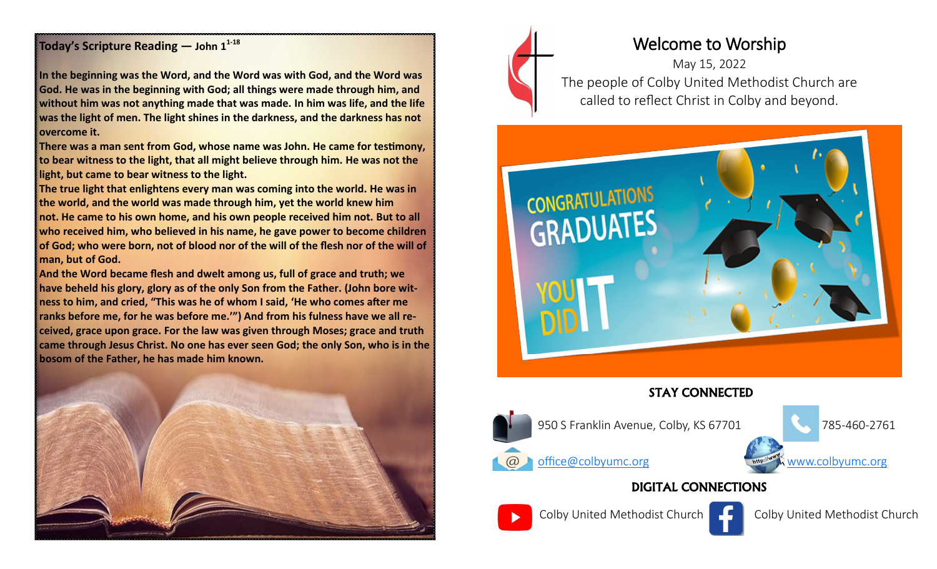### **Today's Scripture Reading — John 1<sup>1</sup>-<sup>18</sup>**

**In the beginning was the Word, and the Word was with God, and the Word was God. He was in the beginning with God; all things were made through him, and without him was not anything made that was made. In him was life, and the life was the light of men. The light shines in the darkness, and the darkness has not overcome it.**

**There was a man sent from God, whose name was John. He came for testimony, to bear witness to the light, that all might believe through him. He was not the light, but came to bear witness to the light.**

**The true light that enlightens every man was coming into the world. He was in the world, and the world was made through him, yet the world knew him not. He came to his own home, and his own people received him not. But to all who received him, who believed in his name, he gave power to become children of God; who were born, not of blood nor of the will of the flesh nor of the will of man, but of God.**

**And the Word became flesh and dwelt among us, full of grace and truth; we have beheld his glory, glory as of the only Son from the Father. (John bore witness to him, and cried, "This was he of whom I said, 'He who comes after me ranks before me, for he was before me.'") And from his fulness have we all received, grace upon grace. For the law was given through Moses; grace and truth came through Jesus Christ. No one has ever seen God; the only Son, who is in the bosom of the Father, he has made him known.**





# Welcome to Worship

May 15, 2022 The people of Colby United Methodist Church are called to reflect Christ in Colby and beyond.



## STAY CONNECTED



950 S Franklin Avenue, Colby, KS 67701 785-460-2761







Colby United Methodist Church Colby United Methodist Church